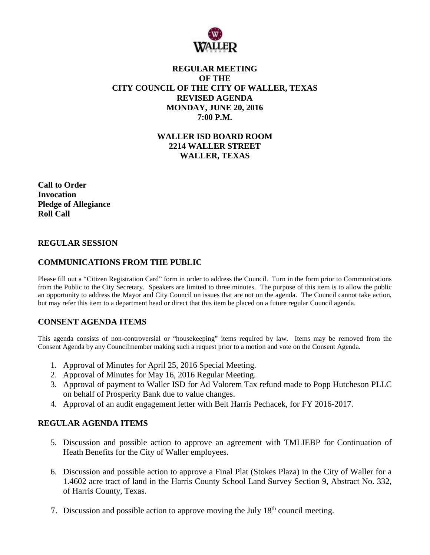

## **REGULAR MEETING OF THE CITY COUNCIL OF THE CITY OF WALLER, TEXAS REVISED AGENDA MONDAY, JUNE 20, 2016 7:00 P.M.**

**WALLER ISD BOARD ROOM 2214 WALLER STREET WALLER, TEXAS**

**Call to Order Invocation Pledge of Allegiance Roll Call**

### **REGULAR SESSION**

## **COMMUNICATIONS FROM THE PUBLIC**

Please fill out a "Citizen Registration Card" form in order to address the Council. Turn in the form prior to Communications from the Public to the City Secretary. Speakers are limited to three minutes. The purpose of this item is to allow the public an opportunity to address the Mayor and City Council on issues that are not on the agenda. The Council cannot take action, but may refer this item to a department head or direct that this item be placed on a future regular Council agenda.

# **CONSENT AGENDA ITEMS**

This agenda consists of non-controversial or "housekeeping" items required by law. Items may be removed from the Consent Agenda by any Councilmember making such a request prior to a motion and vote on the Consent Agenda.

- 1. Approval of Minutes for April 25, 2016 Special Meeting.
- 2. Approval of Minutes for May 16, 2016 Regular Meeting.
- 3. Approval of payment to Waller ISD for Ad Valorem Tax refund made to Popp Hutcheson PLLC on behalf of Prosperity Bank due to value changes.
- 4. Approval of an audit engagement letter with Belt Harris Pechacek, for FY 2016-2017.

### **REGULAR AGENDA ITEMS**

- 5. Discussion and possible action to approve an agreement with TMLIEBP for Continuation of Heath Benefits for the City of Waller employees.
- 6. Discussion and possible action to approve a Final Plat (Stokes Plaza) in the City of Waller for a 1.4602 acre tract of land in the Harris County School Land Survey Section 9, Abstract No. 332, of Harris County, Texas.
- 7. Discussion and possible action to approve moving the July  $18<sup>th</sup>$  council meeting.